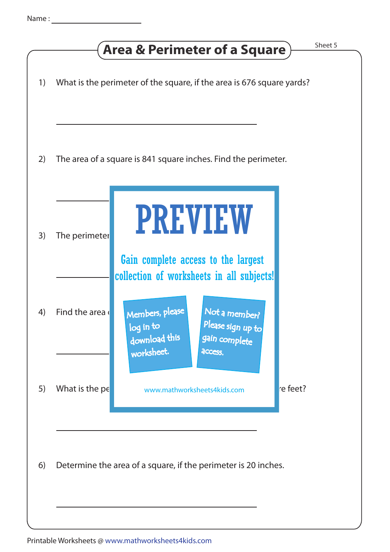